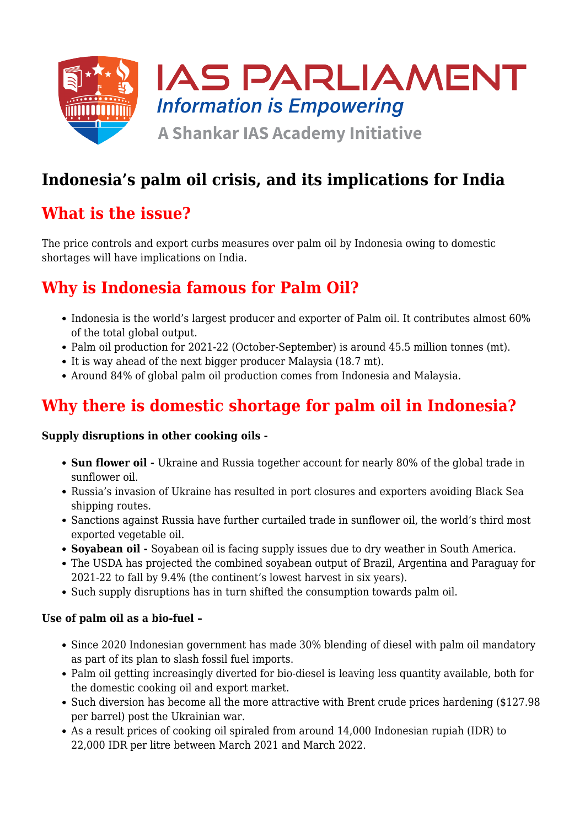

# **Indonesia's palm oil crisis, and its implications for India**

## **What is the issue?**

The price controls and export curbs measures over palm oil by Indonesia owing to domestic shortages will have implications on India.

## **Why is Indonesia famous for Palm Oil?**

- Indonesia is the world's largest producer and exporter of Palm oil. It contributes almost 60% of the total global output.
- Palm oil production for 2021-22 (October-September) is around 45.5 million tonnes (mt).
- It is way ahead of the next bigger producer Malaysia (18.7 mt).
- Around 84% of global palm oil production comes from Indonesia and Malaysia.

# **Why there is domestic shortage for palm oil in Indonesia?**

#### **Supply disruptions in other cooking oils -**

- **Sun flower oil -** Ukraine and Russia together account for nearly 80% of the global trade in sunflower oil.
- Russia's invasion of Ukraine has resulted in port closures and exporters avoiding Black Sea shipping routes.
- Sanctions against Russia have further curtailed trade in sunflower oil, the world's third most exported vegetable oil.
- **Soyabean oil** Soyabean oil is facing supply issues due to dry weather in South America.
- The USDA has projected the combined soyabean output of Brazil, Argentina and Paraguay for 2021-22 to fall by 9.4% (the continent's lowest harvest in six years).
- Such supply disruptions has in turn shifted the consumption towards palm oil.

### **Use of palm oil as a bio-fuel –**

- Since 2020 Indonesian government has made 30% blending of diesel with palm oil mandatory as part of its plan to slash fossil fuel imports.
- Palm oil getting increasingly diverted for bio-diesel is leaving less quantity available, both for the domestic cooking oil and export market.
- Such diversion has become all the more attractive with Brent crude prices hardening (\$127.98) per barrel) post the Ukrainian war.
- As a result prices of cooking oil spiraled from around 14,000 Indonesian rupiah (IDR) to 22,000 IDR per litre between March 2021 and March 2022.